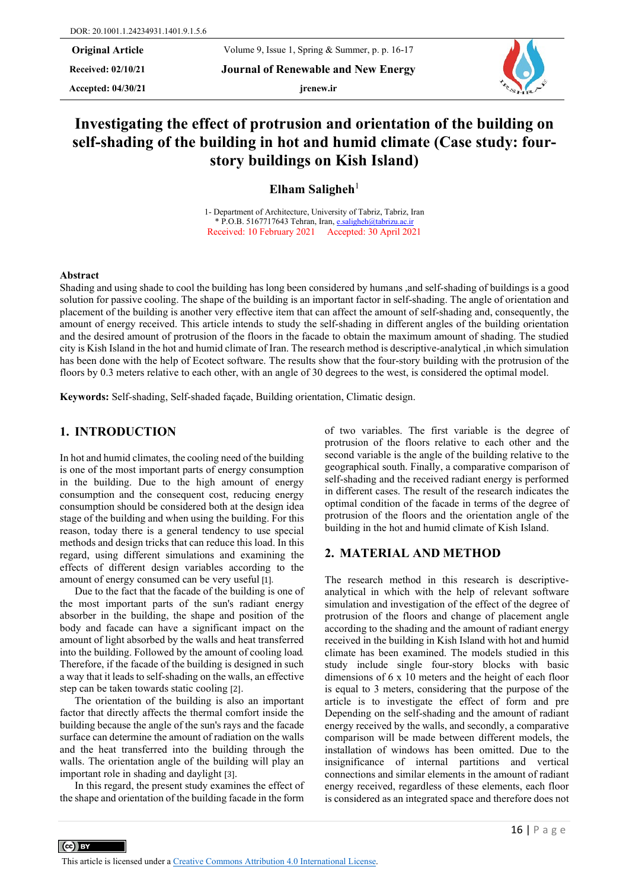Accepted:  $04/30/21$  **jrenew.ir** 

**Received: 02/10/21 Journal of Renewable and New Energy**



# **Investigating the effect of protrusion and orientation of the building on self-shading of the building in hot and humid climate (Case study: fourstory buildings on Kish Island)**

**Elham Saligheh**<sup>1</sup>

1- Department of Architecture, University of Tabriz, Tabriz, Iran \* P.O.B. 5167717643 Tehran, Iran[, e.saligheh@tabrizu.ac.ir](mailto:e.saligheh@tabrizu.ac.ir) Received: 10 February 2021 Accepted: 30 April 2021

#### **Abstract**

Shading and using shade to cool the building has long been considered by humans ,and self-shading of buildings is a good solution for passive cooling. The shape of the building is an important factor in self-shading. The angle of orientation and placement of the building is another very effective item that can affect the amount of self-shading and, consequently, the amount of energy received. This article intends to study the self-shading in different angles of the building orientation and the desired amount of protrusion of the floors in the facade to obtain the maximum amount of shading. The studied city is Kish Island in the hot and humid climate of Iran. The research method is descriptive-analytical ,in which simulation has been done with the help of Ecotect software. The results show that the four-story building with the protrusion of the floors by 0.3 meters relative to each other, with an angle of 30 degrees to the west, is considered the optimal model.

**Keywords:** Self-shading, Self-shaded façade, Building orientation, Climatic design.

# **1. INTRODUCTION**

In hot and humid climates, the cooling need of the building is one of the most important parts of energy consumption in the building. Due to the high amount of energy consumption and the consequent cost, reducing energy consumption should be considered both at the design idea stage of the building and when using the building. For this reason, today there is a general tendency to use special methods and design tricks that can reduce this load. In this regard, using different simulations and examining the effects of different design variables according to the amount of energy consumed can be very useful [1].

Due to the fact that the facade of the building is one of the most important parts of the sun's radiant energy absorber in the building, the shape and position of the body and facade can have a significant impact on the amount of light absorbed by the walls and heat transferred into the building. Followed by the amount of cooling load. Therefore, if the facade of the building is designed in such a way that it leads to self-shading on the walls, an effective step can be taken towards static cooling [2].

The orientation of the building is also an important factor that directly affects the thermal comfort inside the building because the angle of the sun's rays and the facade surface can determine the amount of radiation on the walls and the heat transferred into the building through the walls. The orientation angle of the building will play an important role in shading and daylight [3].

In this regard, the present study examines the effect of the shape and orientation of the building facade in the form

 $\left(\text{cc}\right)$  BY

of two variables. The first variable is the degree of protrusion of the floors relative to each other and the second variable is the angle of the building relative to the geographical south. Finally, a comparative comparison of self-shading and the received radiant energy is performed in different cases. The result of the research indicates the optimal condition of the facade in terms of the degree of protrusion of the floors and the orientation angle of the building in the hot and humid climate of Kish Island.

## **2. MATERIAL AND METHOD**

The research method in this research is descriptiveanalytical in which with the help of relevant software simulation and investigation of the effect of the degree of protrusion of the floors and change of placement angle according to the shading and the amount of radiant energy received in the building in Kish Island with hot and humid climate has been examined. The models studied in this study include single four-story blocks with basic dimensions of 6 x 10 meters and the height of each floor is equal to 3 meters, considering that the purpose of the article is to investigate the effect of form and pre Depending on the self-shading and the amount of radiant energy received by the walls, and secondly, a comparative comparison will be made between different models, the installation of windows has been omitted. Due to the insignificance of internal partitions and vertical connections and similar elements in the amount of radiant energy received, regardless of these elements, each floor is considered as an integrated space and therefore does not